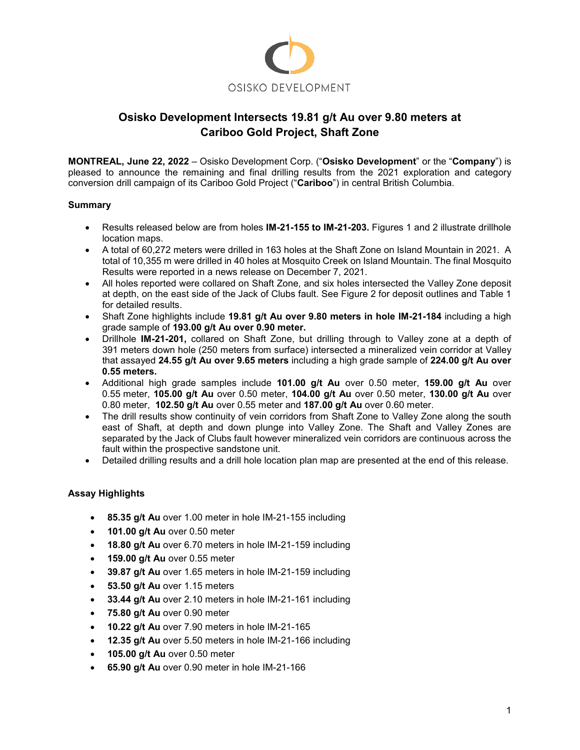

# **Osisko Development Intersects 19.81 g/t Au over 9.80 meters at Cariboo Gold Project, Shaft Zone**

**MONTREAL, June 22, 2022** – Osisko Development Corp. ("**Osisko Development**" or the "**Company**") is pleased to announce the remaining and final drilling results from the 2021 exploration and category conversion drill campaign of its Cariboo Gold Project ("**Cariboo**") in central British Columbia.

#### **Summary**

- Results released below are from holes **IM-21-155 to IM-21-203.** Figures 1 and 2 illustrate drillhole location maps.
- A total of 60,272 meters were drilled in 163 holes at the Shaft Zone on Island Mountain in 2021. A total of 10,355 m were drilled in 40 holes at Mosquito Creek on Island Mountain. The final Mosquito Results were reported in a news release on December 7, 2021.
- All holes reported were collared on Shaft Zone, and six holes intersected the Valley Zone deposit at depth, on the east side of the Jack of Clubs fault. See Figure 2 for deposit outlines and Table 1 for detailed results.
- Shaft Zone highlights include **19.81 g/t Au over 9.80 meters in hole IM-21-184** including a high grade sample of **193.00 g/t Au over 0.90 meter.**
- Drillhole **IM-21-201,** collared on Shaft Zone, but drilling through to Valley zone at a depth of 391 meters down hole (250 meters from surface) intersected a mineralized vein corridor at Valley that assayed **24.55 g/t Au over 9.65 meters** including a high grade sample of **224.00 g/t Au over 0.55 meters.**
- Additional high grade samples include **101.00 g/t Au** over 0.50 meter, **159.00 g/t Au** over 0.55 meter, **105.00 g/t Au** over 0.50 meter, **104.00 g/t Au** over 0.50 meter, **130.00 g/t Au** over 0.80 meter, **102.50 g/t Au** over 0.55 meter and **187.00 g/t Au** over 0.60 meter.
- The drill results show continuity of vein corridors from Shaft Zone to Valley Zone along the south east of Shaft, at depth and down plunge into Valley Zone. The Shaft and Valley Zones are separated by the Jack of Clubs fault however mineralized vein corridors are continuous across the fault within the prospective sandstone unit.
- Detailed drilling results and a drill hole location plan map are presented at the end of this release.

### **Assay Highlights**

- **85.35 g/t Au** over 1.00 meter in hole IM-21-155 including
- **101.00 g/t Au** over 0.50 meter
- **18.80 g/t Au** over 6.70 meters in hole IM-21-159 including
- **159.00 g/t Au** over 0.55 meter
- **39.87 g/t Au** over 1.65 meters in hole IM-21-159 including
- **53.50 g/t Au** over 1.15 meters
- **33.44 g/t Au** over 2.10 meters in hole IM-21-161 including
- **75.80 g/t Au** over 0.90 meter
- **10.22 g/t Au** over 7.90 meters in hole IM-21-165
- **12.35 g/t Au** over 5.50 meters in hole IM-21-166 including
- **105.00 g/t Au** over 0.50 meter
- **65.90 g/t Au** over 0.90 meter in hole IM-21-166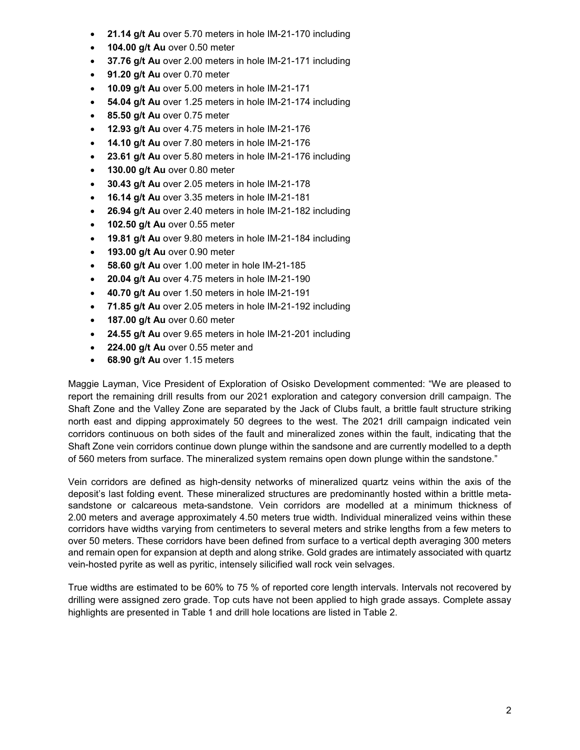- **21.14 g/t Au** over 5.70 meters in hole IM-21-170 including
- **104.00 g/t Au** over 0.50 meter
- **37.76 g/t Au** over 2.00 meters in hole IM-21-171 including
- **91.20 g/t Au** over 0.70 meter
- **10.09 g/t Au** over 5.00 meters in hole IM-21-171
- **54.04 g/t Au** over 1.25 meters in hole IM-21-174 including
- **85.50 g/t Au** over 0.75 meter
- **12.93 g/t Au** over 4.75 meters in hole IM-21-176
- **14.10 g/t Au** over 7.80 meters in hole IM-21-176
- **23.61 g/t Au** over 5.80 meters in hole IM-21-176 including
- **130.00 g/t Au** over 0.80 meter
- **30.43 g/t Au** over 2.05 meters in hole IM-21-178
- **16.14 g/t Au** over 3.35 meters in hole IM-21-181
- **26.94 g/t Au** over 2.40 meters in hole IM-21-182 including
- **102.50 g/t Au** over 0.55 meter
- **19.81 g/t Au** over 9.80 meters in hole IM-21-184 including
- **193.00 g/t Au** over 0.90 meter
- **58.60 g/t Au** over 1.00 meter in hole IM-21-185
- **20.04 g/t Au** over 4.75 meters in hole IM-21-190
- **40.70 g/t Au** over 1.50 meters in hole IM-21-191
- **71.85 g/t Au** over 2.05 meters in hole IM-21-192 including
- **187.00 g/t Au** over 0.60 meter
- **24.55 g/t Au** over 9.65 meters in hole IM-21-201 including
- **224.00 g/t Au** over 0.55 meter and
- **68.90 g/t Au** over 1.15 meters

Maggie Layman, Vice President of Exploration of Osisko Development commented: "We are pleased to report the remaining drill results from our 2021 exploration and category conversion drill campaign. The Shaft Zone and the Valley Zone are separated by the Jack of Clubs fault, a brittle fault structure striking north east and dipping approximately 50 degrees to the west. The 2021 drill campaign indicated vein corridors continuous on both sides of the fault and mineralized zones within the fault, indicating that the Shaft Zone vein corridors continue down plunge within the sandsone and are currently modelled to a depth of 560 meters from surface. The mineralized system remains open down plunge within the sandstone."

Vein corridors are defined as high-density networks of mineralized quartz veins within the axis of the deposit's last folding event. These mineralized structures are predominantly hosted within a brittle metasandstone or calcareous meta-sandstone. Vein corridors are modelled at a minimum thickness of 2.00 meters and average approximately 4.50 meters true width. Individual mineralized veins within these corridors have widths varying from centimeters to several meters and strike lengths from a few meters to over 50 meters. These corridors have been defined from surface to a vertical depth averaging 300 meters and remain open for expansion at depth and along strike. Gold grades are intimately associated with quartz vein-hosted pyrite as well as pyritic, intensely silicified wall rock vein selvages.

True widths are estimated to be 60% to 75 % of reported core length intervals. Intervals not recovered by drilling were assigned zero grade. Top cuts have not been applied to high grade assays. Complete assay highlights are presented in Table 1 and drill hole locations are listed in Table 2.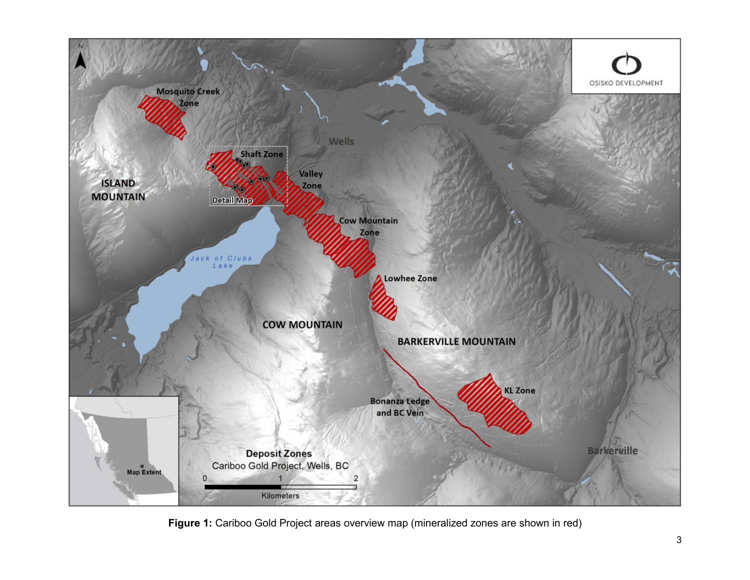

**Figure 1:** Cariboo Gold Project areas overview map (mineralized zones are shown in red)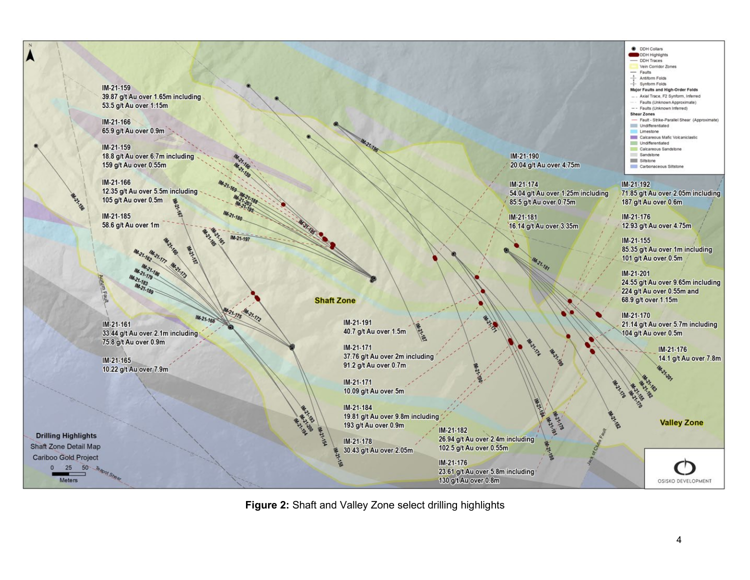

**Figure 2:** Shaft and Valley Zone select drilling highlights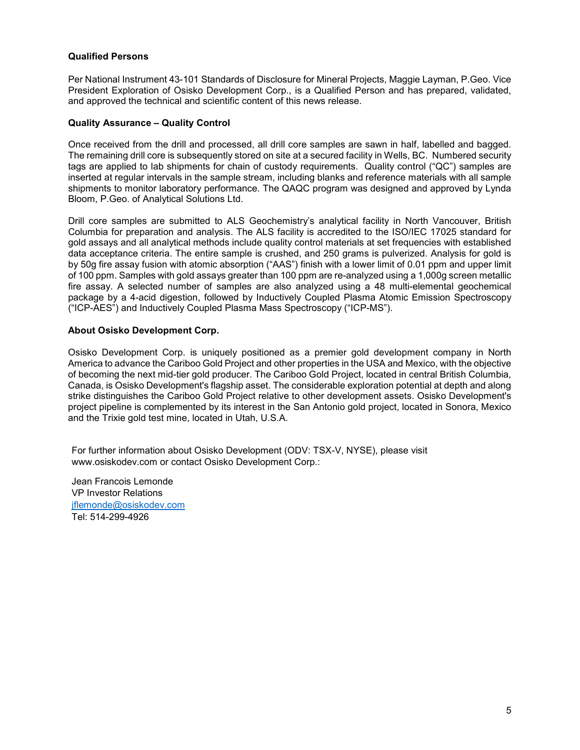#### **Qualified Persons**

Per National Instrument 43-101 Standards of Disclosure for Mineral Projects, Maggie Layman, P.Geo. Vice President Exploration of Osisko Development Corp., is a Qualified Person and has prepared, validated, and approved the technical and scientific content of this news release.

#### **Quality Assurance – Quality Control**

Once received from the drill and processed, all drill core samples are sawn in half, labelled and bagged. The remaining drill core is subsequently stored on site at a secured facility in Wells, BC. Numbered security tags are applied to lab shipments for chain of custody requirements. Quality control ("QC") samples are inserted at regular intervals in the sample stream, including blanks and reference materials with all sample shipments to monitor laboratory performance. The QAQC program was designed and approved by Lynda Bloom, P.Geo. of Analytical Solutions Ltd.

Drill core samples are submitted to ALS Geochemistry's analytical facility in North Vancouver, British Columbia for preparation and analysis. The ALS facility is accredited to the ISO/IEC 17025 standard for gold assays and all analytical methods include quality control materials at set frequencies with established data acceptance criteria. The entire sample is crushed, and 250 grams is pulverized. Analysis for gold is by 50g fire assay fusion with atomic absorption ("AAS") finish with a lower limit of 0.01 ppm and upper limit of 100 ppm. Samples with gold assays greater than 100 ppm are re-analyzed using a 1,000g screen metallic fire assay. A selected number of samples are also analyzed using a 48 multi-elemental geochemical package by a 4-acid digestion, followed by Inductively Coupled Plasma Atomic Emission Spectroscopy ("ICP-AES") and Inductively Coupled Plasma Mass Spectroscopy ("ICP-MS").

#### **About Osisko Development Corp.**

Osisko Development Corp. is uniquely positioned as a premier gold development company in North America to advance the Cariboo Gold Project and other properties in the USA and Mexico, with the objective of becoming the next mid-tier gold producer. The Cariboo Gold Project, located in central British Columbia, Canada, is Osisko Development's flagship asset. The considerable exploration potential at depth and along strike distinguishes the Cariboo Gold Project relative to other development assets. Osisko Development's project pipeline is complemented by its interest in the San Antonio gold project, located in Sonora, Mexico and the Trixie gold test mine, located in Utah, U.S.A.

For further information about Osisko Development (ODV: TSX-V, NYSE), please visit www.osiskodev.com or contact Osisko Development Corp.:

Jean Francois Lemonde VP Investor Relations [jflemonde@osiskodev.com](mailto:jflemonde@osiskodev.com) Tel: 514-299-4926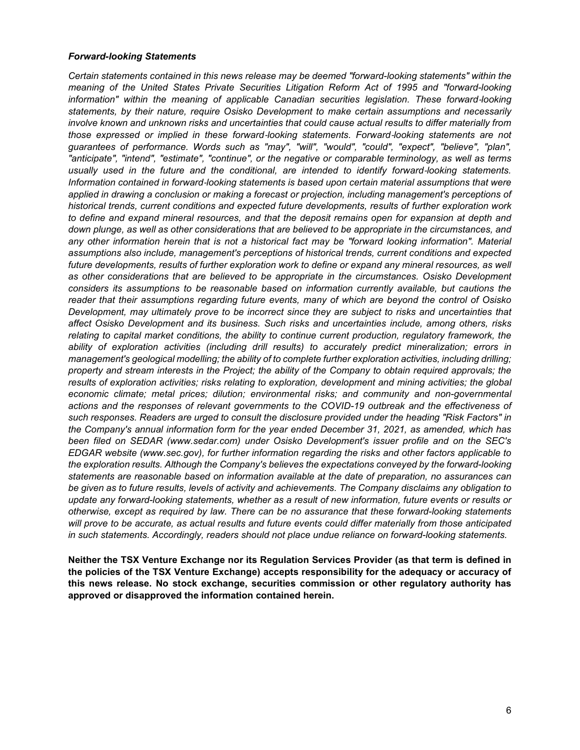#### *Forward-looking Statements*

*Certain statements contained in this news release may be deemed "forward-looking statements" within the meaning of the United States Private Securities Litigation Reform Act of 1995 and "forward-looking*  information" within the meaning of applicable Canadian securities legislation. These forward-looking *statements, by their nature, require Osisko Development to make certain assumptions and necessarily involve known and unknown risks and uncertainties that could cause actual results to differ materially from those expressed or implied in these forward*‐*looking statements. Forward*‐*looking statements are not guarantees of performance. Words such as "may", "will", "would", "could", "expect", "believe", "plan", "anticipate", "intend", "estimate", "continue", or the negative or comparable terminology, as well as terms*  usually used in the future and the conditional, are intended to identify forward-looking statements. *Information contained in forward*‐*looking statements is based upon certain material assumptions that were applied in drawing a conclusion or making a forecast or projection, including management's perceptions of historical trends, current conditions and expected future developments, results of further exploration work to define and expand mineral resources, and that the deposit remains open for expansion at depth and down plunge, as well as other considerations that are believed to be appropriate in the circumstances, and*  any other information herein that is not a historical fact may be "forward looking information". Material *assumptions also include, management's perceptions of historical trends, current conditions and expected*  future developments, results of further exploration work to define or expand any mineral resources, as well *as other considerations that are believed to be appropriate in the circumstances. Osisko Development considers its assumptions to be reasonable based on information currently available, but cautions the reader that their assumptions regarding future events, many of which are beyond the control of Osisko Development, may ultimately prove to be incorrect since they are subject to risks and uncertainties that affect Osisko Development and its business. Such risks and uncertainties include, among others, risks relating to capital market conditions, the ability to continue current production, regulatory framework, the ability of exploration activities (including drill results) to accurately predict mineralization; errors in management's geological modelling; the ability of to complete further exploration activities, including drilling; property and stream interests in the Project; the ability of the Company to obtain required approvals; the results of exploration activities; risks relating to exploration, development and mining activities; the global economic climate; metal prices; dilution; environmental risks; and community and non-governmental actions and the responses of relevant governments to the COVID-19 outbreak and the effectiveness of such responses. Readers are urged to consult the disclosure provided under the heading "Risk Factors" in the Company's annual information form for the year ended December 31, 2021, as amended, which has been filed on SEDAR (www.sedar.com) under Osisko Development's issuer profile and on the SEC's EDGAR website (www.sec.gov), for further information regarding the risks and other factors applicable to the exploration results. Although the Company's believes the expectations conveyed by the forward-looking statements are reasonable based on information available at the date of preparation, no assurances can be given as to future results, levels of activity and achievements. The Company disclaims any obligation to update any forward-looking statements, whether as a result of new information, future events or results or otherwise, except as required by law. There can be no assurance that these forward-looking statements will prove to be accurate, as actual results and future events could differ materially from those anticipated in such statements. Accordingly, readers should not place undue reliance on forward-looking statements.*

**Neither the TSX Venture Exchange nor its Regulation Services Provider (as that term is defined in the policies of the TSX Venture Exchange) accepts responsibility for the adequacy or accuracy of this news release. No stock exchange, securities commission or other regulatory authority has approved or disapproved the information contained herein.**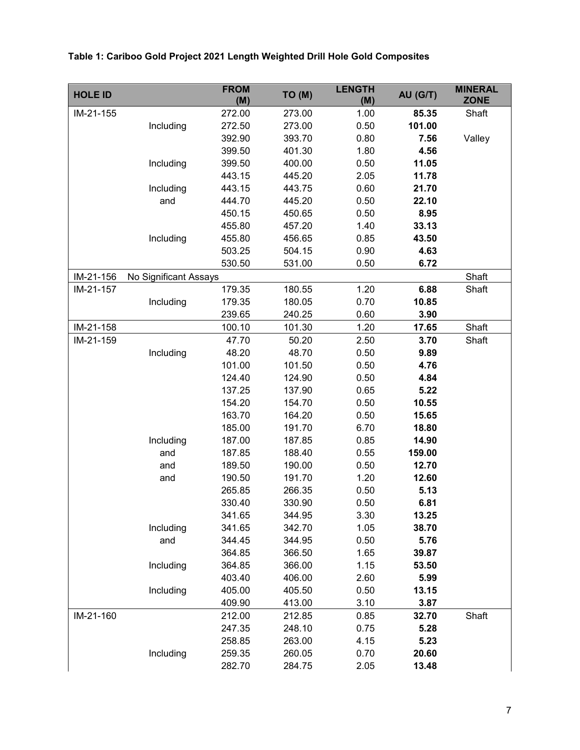# **Table 1: Cariboo Gold Project 2021 Length Weighted Drill Hole Gold Composites**

| <b>HOLE ID</b> |                       | <b>FROM</b><br>(M) | TO (M)           | <b>LENGTH</b><br>(M) | AU (G/T)      | <b>MINERAL</b><br><b>ZONE</b> |
|----------------|-----------------------|--------------------|------------------|----------------------|---------------|-------------------------------|
| IM-21-155      |                       | 272.00             | 273.00           | 1.00                 | 85.35         | Shaft                         |
|                | Including             | 272.50             | 273.00           | 0.50                 | 101.00        |                               |
|                |                       | 392.90             | 393.70           | 0.80                 | 7.56          | Valley                        |
|                |                       | 399.50             | 401.30           | 1.80                 | 4.56          |                               |
|                | Including             | 399.50             | 400.00           | 0.50                 | 11.05         |                               |
|                |                       | 443.15             | 445.20           | 2.05                 | 11.78         |                               |
|                | Including             | 443.15             | 443.75           | 0.60                 | 21.70         |                               |
|                | and                   | 444.70             | 445.20           | 0.50                 | 22.10         |                               |
|                |                       | 450.15             | 450.65           | 0.50                 | 8.95          |                               |
|                |                       | 455.80             | 457.20           | 1.40                 | 33.13         |                               |
|                | Including             | 455.80             | 456.65           | 0.85                 | 43.50         |                               |
|                |                       | 503.25             | 504.15           | 0.90                 | 4.63          |                               |
|                |                       | 530.50             | 531.00           | 0.50                 | 6.72          |                               |
| IM-21-156      | No Significant Assays |                    |                  |                      |               | Shaft                         |
| IM-21-157      |                       | 179.35             | 180.55           | 1.20                 | 6.88          | Shaft                         |
|                | Including             | 179.35             | 180.05           | 0.70                 | 10.85         |                               |
|                |                       | 239.65             | 240.25           | 0.60                 | 3.90          |                               |
| IM-21-158      |                       | 100.10             | 101.30           | 1.20                 | 17.65         | Shaft                         |
| IM-21-159      |                       | 47.70              | 50.20            | 2.50                 | 3.70          | Shaft                         |
|                | Including             | 48.20              | 48.70            | 0.50                 | 9.89          |                               |
|                |                       | 101.00             | 101.50           | 0.50                 | 4.76          |                               |
|                |                       | 124.40             | 124.90           | 0.50                 | 4.84          |                               |
|                |                       | 137.25             | 137.90           | 0.65                 | 5.22          |                               |
|                |                       | 154.20             | 154.70           | 0.50                 | 10.55         |                               |
|                |                       | 163.70             | 164.20           | 0.50                 | 15.65         |                               |
|                |                       | 185.00             | 191.70           | 6.70                 | 18.80         |                               |
|                | Including             | 187.00             | 187.85           | 0.85                 | 14.90         |                               |
|                | and                   | 187.85             | 188.40           | 0.55                 | 159.00        |                               |
|                | and                   | 189.50             | 190.00           | 0.50                 | 12.70         |                               |
|                | and                   | 190.50             | 191.70           | 1.20                 | 12.60         |                               |
|                |                       | 265.85             | 266.35           | 0.50                 | 5.13          |                               |
|                |                       | 330.40             | 330.90           | 0.50                 | 6.81          |                               |
|                |                       | 341.65             | 344.95           | 3.30                 | 13.25         |                               |
|                | Including             | 341.65             | 342.70           | 1.05                 | 38.70         |                               |
|                | and                   | 344.45             | 344.95           | 0.50                 | 5.76          |                               |
|                |                       | 364.85<br>364.85   | 366.50<br>366.00 | 1.65                 | 39.87         |                               |
|                | Including             |                    |                  | 1.15                 | 53.50         |                               |
|                |                       | 403.40<br>405.00   | 406.00           | 2.60<br>0.50         | 5.99<br>13.15 |                               |
|                | Including             | 409.90             | 405.50<br>413.00 | 3.10                 | 3.87          |                               |
| IM-21-160      |                       | 212.00             | 212.85           | 0.85                 |               | Shaft                         |
|                |                       | 247.35             | 248.10           | 0.75                 | 32.70<br>5.28 |                               |
|                |                       | 258.85             | 263.00           | 4.15                 | 5.23          |                               |
|                | Including             | 259.35             | 260.05           | 0.70                 | 20.60         |                               |
|                |                       | 282.70             | 284.75           | 2.05                 | 13.48         |                               |
|                |                       |                    |                  |                      |               |                               |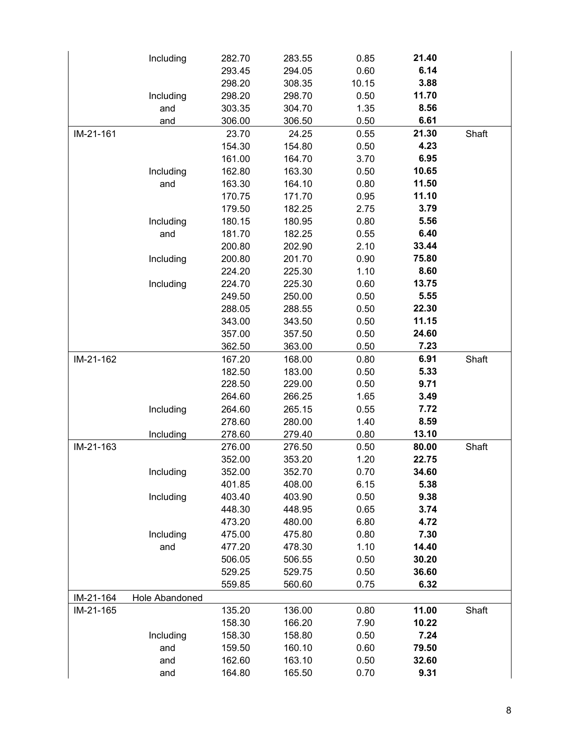|           | Including      | 282.70 | 283.55 | 0.85  | 21.40 |       |
|-----------|----------------|--------|--------|-------|-------|-------|
|           |                | 293.45 | 294.05 | 0.60  | 6.14  |       |
|           |                | 298.20 | 308.35 | 10.15 | 3.88  |       |
|           | Including      | 298.20 | 298.70 | 0.50  | 11.70 |       |
|           | and            | 303.35 | 304.70 | 1.35  | 8.56  |       |
|           | and            | 306.00 | 306.50 | 0.50  | 6.61  |       |
| IM-21-161 |                | 23.70  | 24.25  | 0.55  | 21.30 | Shaft |
|           |                | 154.30 | 154.80 | 0.50  | 4.23  |       |
|           |                | 161.00 | 164.70 | 3.70  | 6.95  |       |
|           | Including      | 162.80 | 163.30 | 0.50  | 10.65 |       |
|           | and            | 163.30 | 164.10 | 0.80  | 11.50 |       |
|           |                |        |        |       |       |       |
|           |                | 170.75 | 171.70 | 0.95  | 11.10 |       |
|           |                | 179.50 | 182.25 | 2.75  | 3.79  |       |
|           | Including      | 180.15 | 180.95 | 0.80  | 5.56  |       |
|           | and            | 181.70 | 182.25 | 0.55  | 6.40  |       |
|           |                | 200.80 | 202.90 | 2.10  | 33.44 |       |
|           | Including      | 200.80 | 201.70 | 0.90  | 75.80 |       |
|           |                | 224.20 | 225.30 | 1.10  | 8.60  |       |
|           | Including      | 224.70 | 225.30 | 0.60  | 13.75 |       |
|           |                | 249.50 | 250.00 | 0.50  | 5.55  |       |
|           |                | 288.05 | 288.55 | 0.50  | 22.30 |       |
|           |                | 343.00 | 343.50 | 0.50  | 11.15 |       |
|           |                | 357.00 | 357.50 | 0.50  | 24.60 |       |
|           |                | 362.50 | 363.00 | 0.50  | 7.23  |       |
| IM-21-162 |                | 167.20 | 168.00 | 0.80  | 6.91  | Shaft |
|           |                | 182.50 | 183.00 | 0.50  | 5.33  |       |
|           |                | 228.50 | 229.00 | 0.50  | 9.71  |       |
|           |                | 264.60 | 266.25 | 1.65  | 3.49  |       |
|           | Including      | 264.60 | 265.15 | 0.55  | 7.72  |       |
|           |                | 278.60 | 280.00 | 1.40  | 8.59  |       |
|           | Including      | 278.60 | 279.40 | 0.80  | 13.10 |       |
| IM-21-163 |                | 276.00 | 276.50 | 0.50  | 80.00 | Shaft |
|           |                | 352.00 | 353.20 | 1.20  | 22.75 |       |
|           | Including      | 352.00 | 352.70 | 0.70  | 34.60 |       |
|           |                | 401.85 | 408.00 | 6.15  | 5.38  |       |
|           | Including      | 403.40 | 403.90 | 0.50  | 9.38  |       |
|           |                | 448.30 | 448.95 | 0.65  | 3.74  |       |
|           |                | 473.20 | 480.00 | 6.80  | 4.72  |       |
|           | Including      | 475.00 | 475.80 | 0.80  | 7.30  |       |
|           | and            | 477.20 | 478.30 | 1.10  | 14.40 |       |
|           |                | 506.05 | 506.55 | 0.50  | 30.20 |       |
|           |                | 529.25 | 529.75 | 0.50  | 36.60 |       |
|           |                | 559.85 | 560.60 | 0.75  | 6.32  |       |
| IM-21-164 | Hole Abandoned |        |        |       |       |       |
| IM-21-165 |                | 135.20 | 136.00 | 0.80  | 11.00 | Shaft |
|           |                | 158.30 | 166.20 | 7.90  | 10.22 |       |
|           | Including      | 158.30 | 158.80 | 0.50  | 7.24  |       |
|           | and            | 159.50 | 160.10 | 0.60  | 79.50 |       |
|           | and            | 162.60 | 163.10 | 0.50  | 32.60 |       |
|           | and            | 164.80 | 165.50 | 0.70  | 9.31  |       |
|           |                |        |        |       |       |       |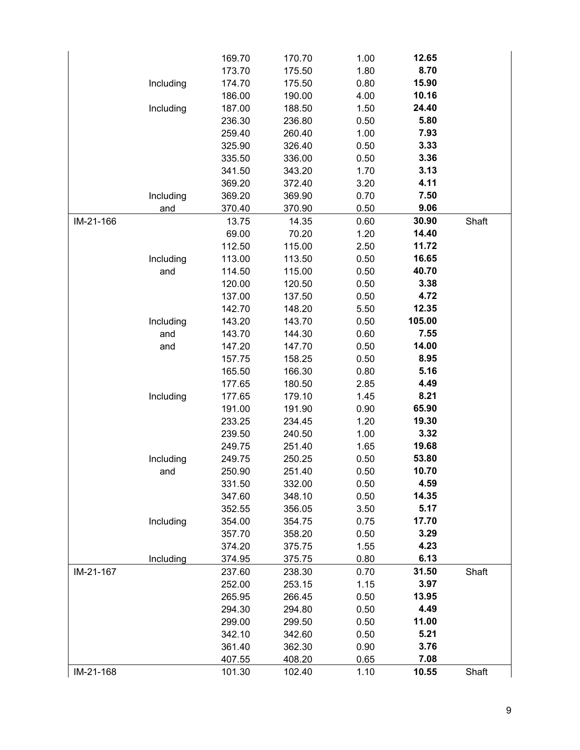|           |           | 169.70 | 170.70 | 1.00 | 12.65  |       |
|-----------|-----------|--------|--------|------|--------|-------|
|           |           | 173.70 | 175.50 | 1.80 | 8.70   |       |
|           | Including | 174.70 | 175.50 | 0.80 | 15.90  |       |
|           |           | 186.00 | 190.00 | 4.00 | 10.16  |       |
|           | Including | 187.00 | 188.50 | 1.50 | 24.40  |       |
|           |           | 236.30 | 236.80 | 0.50 | 5.80   |       |
|           |           | 259.40 | 260.40 | 1.00 | 7.93   |       |
|           |           | 325.90 | 326.40 | 0.50 | 3.33   |       |
|           |           | 335.50 | 336.00 | 0.50 | 3.36   |       |
|           |           | 341.50 | 343.20 | 1.70 | 3.13   |       |
|           |           | 369.20 | 372.40 | 3.20 | 4.11   |       |
|           | Including | 369.20 | 369.90 | 0.70 | 7.50   |       |
|           | and       | 370.40 | 370.90 | 0.50 | 9.06   |       |
| IM-21-166 |           | 13.75  | 14.35  | 0.60 | 30.90  | Shaft |
|           |           | 69.00  | 70.20  | 1.20 | 14.40  |       |
|           |           | 112.50 | 115.00 | 2.50 | 11.72  |       |
|           | Including | 113.00 | 113.50 | 0.50 | 16.65  |       |
|           | and       | 114.50 | 115.00 | 0.50 | 40.70  |       |
|           |           | 120.00 | 120.50 | 0.50 | 3.38   |       |
|           |           | 137.00 | 137.50 | 0.50 | 4.72   |       |
|           |           | 142.70 | 148.20 | 5.50 | 12.35  |       |
|           | Including | 143.20 | 143.70 | 0.50 | 105.00 |       |
|           | and       | 143.70 | 144.30 | 0.60 | 7.55   |       |
|           | and       | 147.20 | 147.70 | 0.50 | 14.00  |       |
|           |           | 157.75 | 158.25 | 0.50 | 8.95   |       |
|           |           | 165.50 | 166.30 | 0.80 | 5.16   |       |
|           |           | 177.65 | 180.50 | 2.85 | 4.49   |       |
|           | Including | 177.65 | 179.10 | 1.45 | 8.21   |       |
|           |           | 191.00 | 191.90 | 0.90 | 65.90  |       |
|           |           | 233.25 | 234.45 | 1.20 | 19.30  |       |
|           |           | 239.50 | 240.50 | 1.00 | 3.32   |       |
|           |           | 249.75 | 251.40 | 1.65 | 19.68  |       |
|           | Including | 249.75 | 250.25 | 0.50 | 53.80  |       |
|           | and       | 250.90 | 251.40 | 0.50 | 10.70  |       |
|           |           | 331.50 | 332.00 | 0.50 | 4.59   |       |
|           |           | 347.60 | 348.10 | 0.50 | 14.35  |       |
|           |           | 352.55 | 356.05 | 3.50 | 5.17   |       |
|           | Including | 354.00 | 354.75 | 0.75 | 17.70  |       |
|           |           | 357.70 | 358.20 | 0.50 | 3.29   |       |
|           |           | 374.20 | 375.75 | 1.55 | 4.23   |       |
|           | Including | 374.95 | 375.75 | 0.80 | 6.13   |       |
| IM-21-167 |           | 237.60 | 238.30 | 0.70 | 31.50  | Shaft |
|           |           | 252.00 | 253.15 | 1.15 | 3.97   |       |
|           |           | 265.95 | 266.45 | 0.50 | 13.95  |       |
|           |           | 294.30 | 294.80 | 0.50 | 4.49   |       |
|           |           | 299.00 | 299.50 | 0.50 | 11.00  |       |
|           |           | 342.10 | 342.60 | 0.50 | 5.21   |       |
|           |           | 361.40 | 362.30 | 0.90 | 3.76   |       |
|           |           | 407.55 | 408.20 | 0.65 | 7.08   |       |
| IM-21-168 |           | 101.30 | 102.40 | 1.10 | 10.55  | Shaft |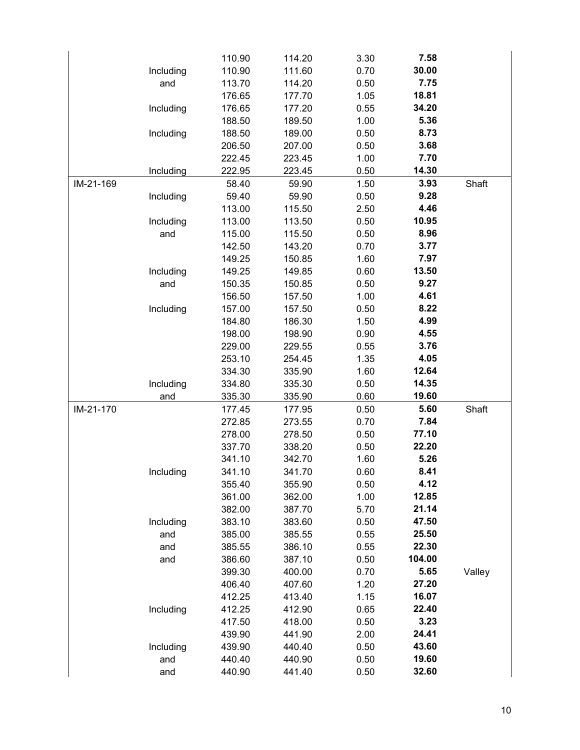|           |           | 110.90 | 114.20 | 3.30 | 7.58   |        |
|-----------|-----------|--------|--------|------|--------|--------|
|           | Including | 110.90 | 111.60 | 0.70 | 30.00  |        |
|           | and       | 113.70 | 114.20 | 0.50 | 7.75   |        |
|           |           | 176.65 | 177.70 | 1.05 | 18.81  |        |
|           | Including | 176.65 | 177.20 | 0.55 | 34.20  |        |
|           |           | 188.50 | 189.50 | 1.00 | 5.36   |        |
|           | Including | 188.50 | 189.00 | 0.50 | 8.73   |        |
|           |           | 206.50 | 207.00 | 0.50 | 3.68   |        |
|           |           | 222.45 | 223.45 | 1.00 | 7.70   |        |
|           | Including | 222.95 | 223.45 | 0.50 | 14.30  |        |
| IM-21-169 |           | 58.40  | 59.90  | 1.50 | 3.93   | Shaft  |
|           | Including | 59.40  | 59.90  | 0.50 | 9.28   |        |
|           |           | 113.00 | 115.50 | 2.50 | 4.46   |        |
|           | Including | 113.00 | 113.50 | 0.50 | 10.95  |        |
|           | and       | 115.00 | 115.50 | 0.50 | 8.96   |        |
|           |           | 142.50 | 143.20 | 0.70 | 3.77   |        |
|           |           | 149.25 | 150.85 | 1.60 | 7.97   |        |
|           | Including | 149.25 | 149.85 | 0.60 | 13.50  |        |
|           | and       | 150.35 | 150.85 | 0.50 | 9.27   |        |
|           |           | 156.50 | 157.50 | 1.00 | 4.61   |        |
|           | Including | 157.00 | 157.50 | 0.50 | 8.22   |        |
|           |           | 184.80 | 186.30 | 1.50 | 4.99   |        |
|           |           | 198.00 | 198.90 | 0.90 | 4.55   |        |
|           |           | 229.00 | 229.55 | 0.55 | 3.76   |        |
|           |           | 253.10 | 254.45 | 1.35 | 4.05   |        |
|           |           | 334.30 | 335.90 | 1.60 | 12.64  |        |
|           | Including | 334.80 | 335.30 | 0.50 | 14.35  |        |
|           | and       | 335.30 | 335.90 | 0.60 | 19.60  |        |
| IM-21-170 |           | 177.45 | 177.95 | 0.50 | 5.60   | Shaft  |
|           |           | 272.85 | 273.55 | 0.70 | 7.84   |        |
|           |           | 278.00 | 278.50 | 0.50 | 77.10  |        |
|           |           | 337.70 | 338.20 | 0.50 | 22.20  |        |
|           |           | 341.10 | 342.70 | 1.60 | 5.26   |        |
|           | Including | 341.10 | 341.70 | 0.60 | 8.41   |        |
|           |           | 355.40 | 355.90 | 0.50 | 4.12   |        |
|           |           | 361.00 | 362.00 | 1.00 | 12.85  |        |
|           |           | 382.00 | 387.70 | 5.70 | 21.14  |        |
|           | Including | 383.10 | 383.60 | 0.50 | 47.50  |        |
|           | and       | 385.00 | 385.55 | 0.55 | 25.50  |        |
|           | and       | 385.55 | 386.10 | 0.55 | 22.30  |        |
|           | and       | 386.60 | 387.10 | 0.50 | 104.00 |        |
|           |           | 399.30 | 400.00 | 0.70 | 5.65   | Valley |
|           |           | 406.40 | 407.60 | 1.20 | 27.20  |        |
|           |           | 412.25 | 413.40 | 1.15 | 16.07  |        |
|           | Including | 412.25 | 412.90 | 0.65 | 22.40  |        |
|           |           | 417.50 | 418.00 | 0.50 | 3.23   |        |
|           |           | 439.90 | 441.90 | 2.00 | 24.41  |        |
|           | Including | 439.90 | 440.40 | 0.50 | 43.60  |        |
|           | and       | 440.40 | 440.90 | 0.50 | 19.60  |        |
|           | and       | 440.90 | 441.40 | 0.50 | 32.60  |        |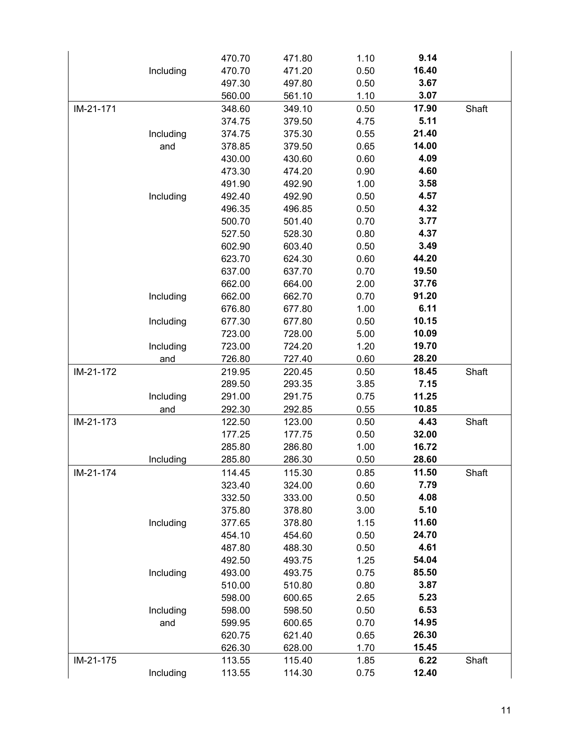|           |           | 470.70 | 471.80 | 1.10         | 9.14         |       |
|-----------|-----------|--------|--------|--------------|--------------|-------|
|           | Including | 470.70 | 471.20 | 0.50         | 16.40        |       |
|           |           | 497.30 | 497.80 | 0.50         | 3.67         |       |
|           |           | 560.00 | 561.10 | 1.10         | 3.07         |       |
| IM-21-171 |           | 348.60 | 349.10 | 0.50         | 17.90        | Shaft |
|           |           | 374.75 | 379.50 | 4.75         | 5.11         |       |
|           | Including | 374.75 | 375.30 | 0.55         | 21.40        |       |
|           | and       | 378.85 | 379.50 | 0.65         | 14.00        |       |
|           |           | 430.00 | 430.60 | 0.60         | 4.09         |       |
|           |           | 473.30 | 474.20 | 0.90         | 4.60         |       |
|           |           | 491.90 | 492.90 | 1.00         | 3.58         |       |
|           | Including | 492.40 | 492.90 | 0.50         | 4.57         |       |
|           |           | 496.35 | 496.85 | 0.50         | 4.32         |       |
|           |           | 500.70 | 501.40 | 0.70         | 3.77         |       |
|           |           | 527.50 | 528.30 | 0.80         | 4.37         |       |
|           |           | 602.90 | 603.40 | 0.50         | 3.49         |       |
|           |           | 623.70 | 624.30 | 0.60         | 44.20        |       |
|           |           | 637.00 | 637.70 | 0.70         | 19.50        |       |
|           |           | 662.00 | 664.00 | 2.00         | 37.76        |       |
|           | Including | 662.00 | 662.70 | 0.70         | 91.20        |       |
|           |           | 676.80 | 677.80 | 1.00         | 6.11         |       |
|           | Including | 677.30 | 677.80 | 0.50         | 10.15        |       |
|           |           | 723.00 | 728.00 | 5.00         | 10.09        |       |
|           | Including | 723.00 | 724.20 | 1.20         | 19.70        |       |
|           | and       | 726.80 | 727.40 | 0.60         | 28.20        |       |
| IM-21-172 |           | 219.95 | 220.45 | 0.50         | 18.45        | Shaft |
|           |           | 289.50 | 293.35 | 3.85         | 7.15         |       |
|           | Including | 291.00 | 291.75 | 0.75         | 11.25        |       |
|           | and       | 292.30 | 292.85 | 0.55         | 10.85        |       |
| IM-21-173 |           | 122.50 | 123.00 | 0.50         | 4.43         | Shaft |
|           |           | 177.25 | 177.75 | 0.50         | 32.00        |       |
|           |           | 285.80 | 286.80 | 1.00         | 16.72        |       |
|           | Including | 285.80 | 286.30 | 0.50         | 28.60        |       |
| IM-21-174 |           | 114.45 | 115.30 | 0.85         | 11.50        | Shaft |
|           |           | 323.40 | 324.00 | 0.60         | 7.79         |       |
|           |           | 332.50 | 333.00 | 0.50         | 4.08         |       |
|           |           | 375.80 | 378.80 | 3.00         | 5.10         |       |
|           | Including | 377.65 | 378.80 | 1.15         | 11.60        |       |
|           |           | 454.10 | 454.60 | 0.50         | 24.70        |       |
|           |           | 487.80 | 488.30 | 0.50         | 4.61         |       |
|           |           | 492.50 | 493.75 | 1.25         | 54.04        |       |
|           | Including | 493.00 | 493.75 | 0.75         | 85.50        |       |
|           |           | 510.00 | 510.80 | 0.80<br>2.65 | 3.87<br>5.23 |       |
|           |           | 598.00 | 600.65 |              |              |       |
|           | Including | 598.00 | 598.50 | 0.50         | 6.53         |       |
|           | and       | 599.95 | 600.65 | 0.70         | 14.95        |       |
|           |           | 620.75 | 621.40 | 0.65         | 26.30        |       |
|           |           | 626.30 | 628.00 | 1.70         | 15.45        |       |
| IM-21-175 |           | 113.55 | 115.40 | 1.85         | 6.22         | Shaft |
|           | Including | 113.55 | 114.30 | 0.75         | 12.40        |       |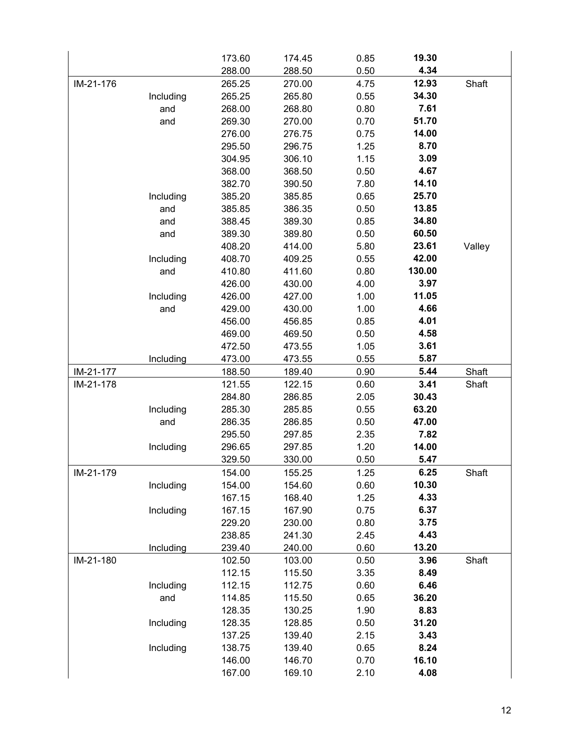|           |           | 173.60 | 174.45 | 0.85 | 19.30  |        |
|-----------|-----------|--------|--------|------|--------|--------|
|           |           | 288.00 | 288.50 | 0.50 | 4.34   |        |
| IM-21-176 |           | 265.25 | 270.00 | 4.75 | 12.93  | Shaft  |
|           | Including | 265.25 | 265.80 | 0.55 | 34.30  |        |
|           | and       | 268.00 | 268.80 | 0.80 | 7.61   |        |
|           | and       | 269.30 | 270.00 | 0.70 | 51.70  |        |
|           |           | 276.00 | 276.75 | 0.75 | 14.00  |        |
|           |           | 295.50 | 296.75 | 1.25 | 8.70   |        |
|           |           | 304.95 | 306.10 | 1.15 | 3.09   |        |
|           |           | 368.00 | 368.50 | 0.50 | 4.67   |        |
|           |           | 382.70 | 390.50 | 7.80 | 14.10  |        |
|           | Including | 385.20 | 385.85 | 0.65 | 25.70  |        |
|           | and       | 385.85 | 386.35 | 0.50 | 13.85  |        |
|           | and       | 388.45 | 389.30 | 0.85 | 34.80  |        |
|           | and       | 389.30 | 389.80 | 0.50 | 60.50  |        |
|           |           | 408.20 | 414.00 | 5.80 | 23.61  | Valley |
|           | Including | 408.70 | 409.25 | 0.55 | 42.00  |        |
|           | and       | 410.80 | 411.60 | 0.80 | 130.00 |        |
|           |           | 426.00 | 430.00 | 4.00 | 3.97   |        |
|           | Including | 426.00 | 427.00 | 1.00 | 11.05  |        |
|           | and       | 429.00 | 430.00 | 1.00 | 4.66   |        |
|           |           | 456.00 | 456.85 | 0.85 | 4.01   |        |
|           |           | 469.00 | 469.50 | 0.50 | 4.58   |        |
|           |           | 472.50 | 473.55 | 1.05 | 3.61   |        |
|           | Including | 473.00 | 473.55 | 0.55 | 5.87   |        |
| IM-21-177 |           | 188.50 | 189.40 | 0.90 | 5.44   | Shaft  |
| IM-21-178 |           | 121.55 | 122.15 | 0.60 | 3.41   | Shaft  |
|           |           | 284.80 | 286.85 | 2.05 | 30.43  |        |
|           | Including | 285.30 | 285.85 | 0.55 | 63.20  |        |
|           | and       | 286.35 | 286.85 | 0.50 | 47.00  |        |
|           |           | 295.50 | 297.85 | 2.35 | 7.82   |        |
|           | Including | 296.65 | 297.85 | 1.20 | 14.00  |        |
|           |           | 329.50 | 330.00 | 0.50 | 5.47   |        |
| IM-21-179 |           | 154.00 | 155.25 | 1.25 | 6.25   | Shaft  |
|           | Including | 154.00 | 154.60 | 0.60 | 10.30  |        |
|           |           | 167.15 | 168.40 | 1.25 | 4.33   |        |
|           | Including | 167.15 | 167.90 | 0.75 | 6.37   |        |
|           |           | 229.20 | 230.00 | 0.80 | 3.75   |        |
|           |           | 238.85 | 241.30 | 2.45 | 4.43   |        |
|           | Including | 239.40 | 240.00 | 0.60 | 13.20  |        |
| IM-21-180 |           | 102.50 | 103.00 | 0.50 | 3.96   | Shaft  |
|           |           | 112.15 | 115.50 | 3.35 | 8.49   |        |
|           | Including | 112.15 | 112.75 | 0.60 | 6.46   |        |
|           | and       | 114.85 | 115.50 | 0.65 | 36.20  |        |
|           |           | 128.35 | 130.25 | 1.90 | 8.83   |        |
|           | Including | 128.35 | 128.85 | 0.50 | 31.20  |        |
|           |           | 137.25 | 139.40 | 2.15 | 3.43   |        |
|           | Including | 138.75 | 139.40 | 0.65 | 8.24   |        |
|           |           | 146.00 | 146.70 | 0.70 | 16.10  |        |
|           |           | 167.00 | 169.10 | 2.10 | 4.08   |        |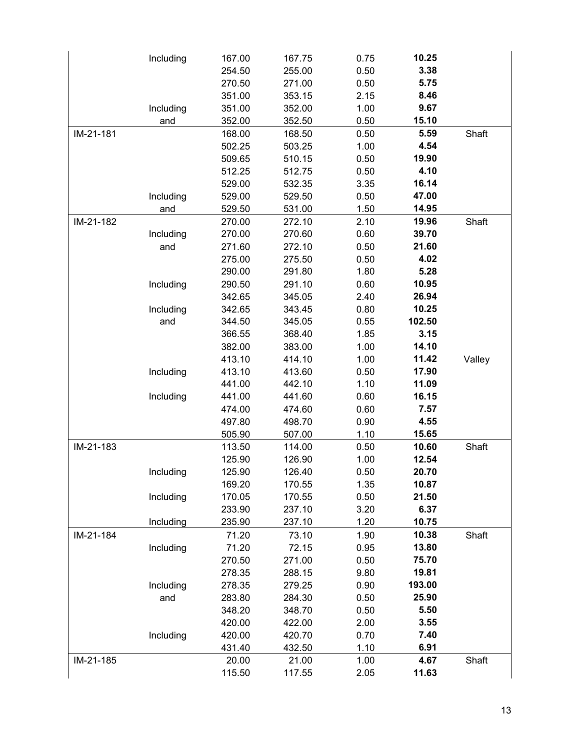|           | Including | 167.00 | 167.75 | 0.75 | 10.25  |        |
|-----------|-----------|--------|--------|------|--------|--------|
|           |           | 254.50 | 255.00 | 0.50 | 3.38   |        |
|           |           | 270.50 | 271.00 | 0.50 | 5.75   |        |
|           |           | 351.00 | 353.15 | 2.15 | 8.46   |        |
|           | Including | 351.00 | 352.00 | 1.00 | 9.67   |        |
|           | and       | 352.00 | 352.50 | 0.50 | 15.10  |        |
| IM-21-181 |           | 168.00 | 168.50 | 0.50 | 5.59   | Shaft  |
|           |           | 502.25 | 503.25 | 1.00 | 4.54   |        |
|           |           | 509.65 | 510.15 | 0.50 | 19.90  |        |
|           |           | 512.25 | 512.75 | 0.50 | 4.10   |        |
|           |           | 529.00 | 532.35 | 3.35 | 16.14  |        |
|           | Including | 529.00 | 529.50 | 0.50 | 47.00  |        |
|           | and       | 529.50 | 531.00 | 1.50 | 14.95  |        |
| IM-21-182 |           | 270.00 | 272.10 | 2.10 | 19.96  | Shaft  |
|           | Including | 270.00 | 270.60 | 0.60 | 39.70  |        |
|           | and       | 271.60 | 272.10 | 0.50 | 21.60  |        |
|           |           | 275.00 | 275.50 | 0.50 | 4.02   |        |
|           |           | 290.00 | 291.80 | 1.80 | 5.28   |        |
|           | Including | 290.50 | 291.10 | 0.60 | 10.95  |        |
|           |           | 342.65 | 345.05 | 2.40 | 26.94  |        |
|           | Including | 342.65 | 343.45 | 0.80 | 10.25  |        |
|           | and       | 344.50 | 345.05 | 0.55 | 102.50 |        |
|           |           | 366.55 | 368.40 | 1.85 | 3.15   |        |
|           |           | 382.00 | 383.00 | 1.00 | 14.10  |        |
|           |           | 413.10 | 414.10 | 1.00 | 11.42  | Valley |
|           | Including | 413.10 | 413.60 | 0.50 | 17.90  |        |
|           |           | 441.00 | 442.10 | 1.10 | 11.09  |        |
|           | Including | 441.00 | 441.60 | 0.60 | 16.15  |        |
|           |           | 474.00 | 474.60 | 0.60 | 7.57   |        |
|           |           | 497.80 | 498.70 | 0.90 | 4.55   |        |
|           |           | 505.90 | 507.00 | 1.10 | 15.65  |        |
| IM-21-183 |           | 113.50 | 114.00 | 0.50 | 10.60  | Shaft  |
|           |           | 125.90 | 126.90 | 1.00 | 12.54  |        |
|           | Including | 125.90 | 126.40 | 0.50 | 20.70  |        |
|           |           | 169.20 | 170.55 | 1.35 | 10.87  |        |
|           | Including | 170.05 | 170.55 | 0.50 | 21.50  |        |
|           |           | 233.90 | 237.10 | 3.20 | 6.37   |        |
|           | Including | 235.90 | 237.10 | 1.20 | 10.75  |        |
| IM-21-184 |           | 71.20  | 73.10  | 1.90 | 10.38  | Shaft  |
|           | Including | 71.20  | 72.15  | 0.95 | 13.80  |        |
|           |           | 270.50 | 271.00 | 0.50 | 75.70  |        |
|           |           | 278.35 | 288.15 | 9.80 | 19.81  |        |
|           | Including | 278.35 | 279.25 | 0.90 | 193.00 |        |
|           | and       | 283.80 | 284.30 | 0.50 | 25.90  |        |
|           |           | 348.20 | 348.70 | 0.50 | 5.50   |        |
|           |           | 420.00 | 422.00 | 2.00 | 3.55   |        |
|           | Including | 420.00 | 420.70 | 0.70 | 7.40   |        |
|           |           | 431.40 | 432.50 | 1.10 | 6.91   |        |
| IM-21-185 |           | 20.00  | 21.00  | 1.00 | 4.67   | Shaft  |
|           |           | 115.50 | 117.55 | 2.05 | 11.63  |        |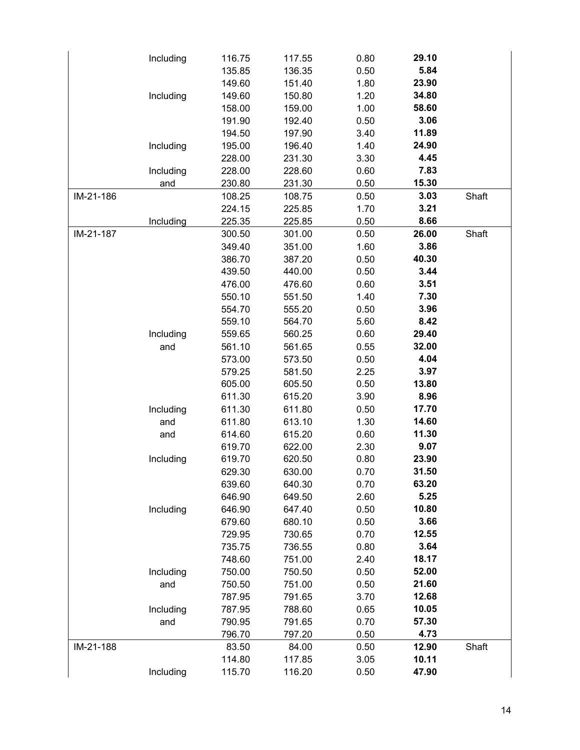|           | Including | 116.75 | 117.55 | 0.80 | 29.10 |       |
|-----------|-----------|--------|--------|------|-------|-------|
|           |           | 135.85 | 136.35 | 0.50 | 5.84  |       |
|           |           | 149.60 | 151.40 | 1.80 | 23.90 |       |
|           | Including | 149.60 | 150.80 | 1.20 | 34.80 |       |
|           |           | 158.00 | 159.00 | 1.00 | 58.60 |       |
|           |           | 191.90 | 192.40 | 0.50 | 3.06  |       |
|           |           | 194.50 | 197.90 | 3.40 | 11.89 |       |
|           | Including | 195.00 | 196.40 | 1.40 | 24.90 |       |
|           |           | 228.00 | 231.30 | 3.30 | 4.45  |       |
|           | Including | 228.00 | 228.60 | 0.60 | 7.83  |       |
|           | and       | 230.80 | 231.30 | 0.50 | 15.30 |       |
| IM-21-186 |           | 108.25 | 108.75 | 0.50 | 3.03  | Shaft |
|           |           | 224.15 | 225.85 | 1.70 | 3.21  |       |
|           | Including | 225.35 | 225.85 | 0.50 | 8.66  |       |
| IM-21-187 |           | 300.50 | 301.00 | 0.50 | 26.00 | Shaft |
|           |           | 349.40 | 351.00 | 1.60 | 3.86  |       |
|           |           | 386.70 | 387.20 | 0.50 | 40.30 |       |
|           |           | 439.50 | 440.00 | 0.50 | 3.44  |       |
|           |           | 476.00 | 476.60 | 0.60 | 3.51  |       |
|           |           | 550.10 | 551.50 | 1.40 | 7.30  |       |
|           |           | 554.70 | 555.20 | 0.50 | 3.96  |       |
|           |           | 559.10 | 564.70 | 5.60 | 8.42  |       |
|           | Including | 559.65 | 560.25 | 0.60 | 29.40 |       |
|           | and       | 561.10 | 561.65 | 0.55 | 32.00 |       |
|           |           | 573.00 | 573.50 | 0.50 | 4.04  |       |
|           |           | 579.25 | 581.50 | 2.25 | 3.97  |       |
|           |           | 605.00 | 605.50 | 0.50 | 13.80 |       |
|           |           | 611.30 | 615.20 | 3.90 | 8.96  |       |
|           | Including | 611.30 | 611.80 | 0.50 | 17.70 |       |
|           | and       | 611.80 | 613.10 | 1.30 | 14.60 |       |
|           | and       | 614.60 | 615.20 | 0.60 | 11.30 |       |
|           |           | 619.70 | 622.00 | 2.30 | 9.07  |       |
|           | Including | 619.70 | 620.50 | 0.80 | 23.90 |       |
|           |           | 629.30 | 630.00 | 0.70 | 31.50 |       |
|           |           | 639.60 | 640.30 | 0.70 | 63.20 |       |
|           |           | 646.90 | 649.50 | 2.60 | 5.25  |       |
|           | Including | 646.90 | 647.40 | 0.50 | 10.80 |       |
|           |           | 679.60 | 680.10 | 0.50 | 3.66  |       |
|           |           | 729.95 | 730.65 | 0.70 | 12.55 |       |
|           |           | 735.75 | 736.55 | 0.80 | 3.64  |       |
|           |           | 748.60 | 751.00 | 2.40 | 18.17 |       |
|           | Including | 750.00 | 750.50 | 0.50 | 52.00 |       |
|           | and       | 750.50 | 751.00 | 0.50 | 21.60 |       |
|           |           | 787.95 | 791.65 | 3.70 | 12.68 |       |
|           | Including | 787.95 | 788.60 | 0.65 | 10.05 |       |
|           | and       | 790.95 | 791.65 | 0.70 | 57.30 |       |
|           |           | 796.70 | 797.20 | 0.50 | 4.73  |       |
| IM-21-188 |           | 83.50  | 84.00  | 0.50 | 12.90 | Shaft |
|           |           | 114.80 | 117.85 | 3.05 | 10.11 |       |
|           | Including | 115.70 | 116.20 | 0.50 | 47.90 |       |
|           |           |        |        |      |       |       |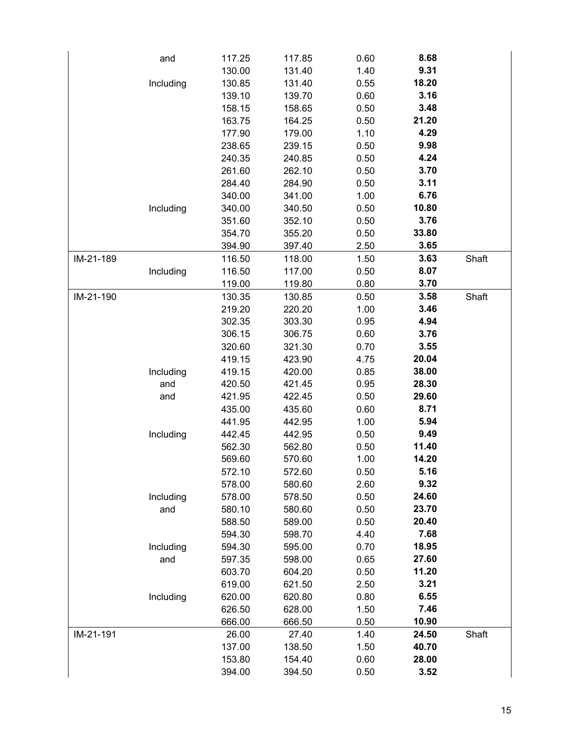|           | and       | 117.25 | 117.85 | 0.60 | 8.68  |       |
|-----------|-----------|--------|--------|------|-------|-------|
|           |           | 130.00 | 131.40 | 1.40 | 9.31  |       |
|           | Including | 130.85 | 131.40 | 0.55 | 18.20 |       |
|           |           | 139.10 | 139.70 | 0.60 | 3.16  |       |
|           |           | 158.15 | 158.65 | 0.50 | 3.48  |       |
|           |           | 163.75 | 164.25 | 0.50 | 21.20 |       |
|           |           | 177.90 | 179.00 | 1.10 | 4.29  |       |
|           |           | 238.65 | 239.15 | 0.50 | 9.98  |       |
|           |           | 240.35 | 240.85 | 0.50 | 4.24  |       |
|           |           | 261.60 | 262.10 | 0.50 | 3.70  |       |
|           |           | 284.40 | 284.90 | 0.50 | 3.11  |       |
|           |           | 340.00 | 341.00 | 1.00 | 6.76  |       |
|           | Including | 340.00 | 340.50 | 0.50 | 10.80 |       |
|           |           | 351.60 | 352.10 | 0.50 | 3.76  |       |
|           |           | 354.70 | 355.20 | 0.50 | 33.80 |       |
|           |           | 394.90 | 397.40 | 2.50 | 3.65  |       |
| IM-21-189 |           | 116.50 | 118.00 | 1.50 | 3.63  | Shaft |
|           | Including | 116.50 | 117.00 | 0.50 | 8.07  |       |
|           |           | 119.00 | 119.80 | 0.80 | 3.70  |       |
| IM-21-190 |           | 130.35 | 130.85 | 0.50 | 3.58  | Shaft |
|           |           | 219.20 | 220.20 | 1.00 | 3.46  |       |
|           |           | 302.35 | 303.30 | 0.95 | 4.94  |       |
|           |           | 306.15 | 306.75 | 0.60 | 3.76  |       |
|           |           | 320.60 | 321.30 | 0.70 | 3.55  |       |
|           |           | 419.15 | 423.90 | 4.75 | 20.04 |       |
|           | Including | 419.15 | 420.00 | 0.85 | 38.00 |       |
|           | and       | 420.50 | 421.45 | 0.95 | 28.30 |       |
|           | and       | 421.95 | 422.45 | 0.50 | 29.60 |       |
|           |           | 435.00 | 435.60 | 0.60 | 8.71  |       |
|           |           | 441.95 | 442.95 | 1.00 | 5.94  |       |
|           | Including | 442.45 | 442.95 | 0.50 | 9.49  |       |
|           |           | 562.30 | 562.80 | 0.50 | 11.40 |       |
|           |           | 569.60 | 570.60 | 1.00 | 14.20 |       |
|           |           | 572.10 | 572.60 | 0.50 | 5.16  |       |
|           |           | 578.00 | 580.60 | 2.60 | 9.32  |       |
|           | Including | 578.00 | 578.50 | 0.50 | 24.60 |       |
|           | and       | 580.10 | 580.60 | 0.50 | 23.70 |       |
|           |           | 588.50 | 589.00 | 0.50 | 20.40 |       |
|           |           | 594.30 | 598.70 | 4.40 | 7.68  |       |
|           | Including | 594.30 | 595.00 | 0.70 | 18.95 |       |
|           | and       | 597.35 | 598.00 | 0.65 | 27.60 |       |
|           |           | 603.70 | 604.20 | 0.50 | 11.20 |       |
|           |           | 619.00 | 621.50 | 2.50 | 3.21  |       |
|           | Including | 620.00 | 620.80 | 0.80 | 6.55  |       |
|           |           | 626.50 | 628.00 | 1.50 | 7.46  |       |
|           |           | 666.00 | 666.50 | 0.50 | 10.90 |       |
| IM-21-191 |           | 26.00  | 27.40  | 1.40 | 24.50 | Shaft |
|           |           | 137.00 | 138.50 | 1.50 | 40.70 |       |
|           |           | 153.80 | 154.40 | 0.60 | 28.00 |       |
|           |           | 394.00 | 394.50 | 0.50 | 3.52  |       |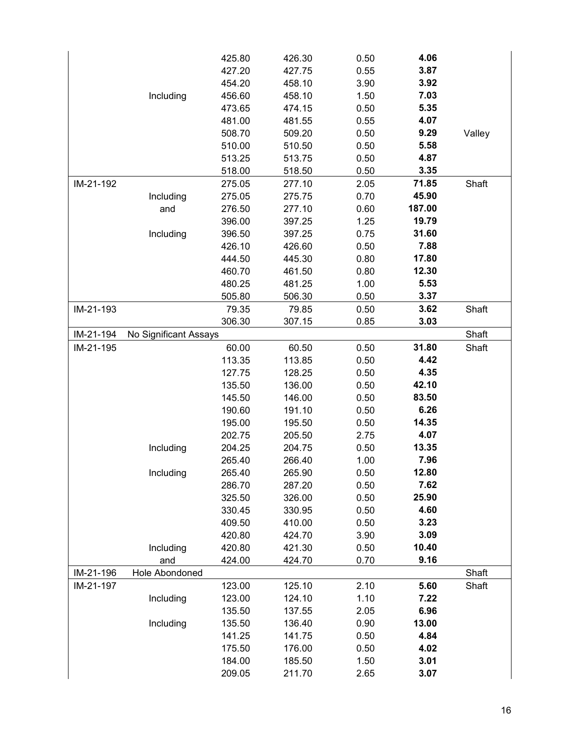|           |                       | 425.80          | 426.30          | 0.50         | 4.06         |        |
|-----------|-----------------------|-----------------|-----------------|--------------|--------------|--------|
|           |                       | 427.20          | 427.75          | 0.55         | 3.87         |        |
|           |                       | 454.20          | 458.10          | 3.90         | 3.92         |        |
|           | Including             | 456.60          | 458.10          | 1.50         | 7.03         |        |
|           |                       | 473.65          | 474.15          | 0.50         | 5.35         |        |
|           |                       | 481.00          | 481.55          | 0.55         | 4.07         |        |
|           |                       | 508.70          | 509.20          | 0.50         | 9.29         | Valley |
|           |                       | 510.00          | 510.50          | 0.50         | 5.58         |        |
|           |                       | 513.25          | 513.75          | 0.50         | 4.87         |        |
|           |                       | 518.00          | 518.50          | 0.50         | 3.35         |        |
| IM-21-192 |                       | 275.05          | 277.10          | 2.05         | 71.85        | Shaft  |
|           |                       | 275.05          | 275.75          | 0.70         | 45.90        |        |
|           | Including             |                 |                 |              |              |        |
|           | and                   | 276.50          | 277.10          | 0.60         | 187.00       |        |
|           |                       | 396.00          | 397.25          | 1.25         | 19.79        |        |
|           | Including             | 396.50          | 397.25          | 0.75         | 31.60        |        |
|           |                       | 426.10          | 426.60          | 0.50         | 7.88         |        |
|           |                       | 444.50          | 445.30          | 0.80         | 17.80        |        |
|           |                       | 460.70          | 461.50          | 0.80         | 12.30        |        |
|           |                       | 480.25          | 481.25          | 1.00         | 5.53         |        |
|           |                       | 505.80          | 506.30          | 0.50         | 3.37         |        |
| IM-21-193 |                       | 79.35<br>306.30 | 79.85<br>307.15 | 0.50<br>0.85 | 3.62<br>3.03 | Shaft  |
| IM-21-194 | No Significant Assays |                 |                 |              |              | Shaft  |
| IM-21-195 |                       | 60.00           | 60.50           | 0.50         | 31.80        | Shaft  |
|           |                       | 113.35          | 113.85          | 0.50         | 4.42         |        |
|           |                       | 127.75          | 128.25          | 0.50         | 4.35         |        |
|           |                       | 135.50          | 136.00          | 0.50         | 42.10        |        |
|           |                       | 145.50          | 146.00          | 0.50         | 83.50        |        |
|           |                       | 190.60          | 191.10          | 0.50         | 6.26         |        |
|           |                       | 195.00          | 195.50          | 0.50         | 14.35        |        |
|           |                       | 202.75          | 205.50          | 2.75         | 4.07         |        |
|           | Including             | 204.25          | 204.75          | 0.50         | 13.35        |        |
|           |                       | 265.40          | 266.40          | 1.00         | 7.96         |        |
|           | Including             | 265.40          | 265.90          | 0.50         | 12.80        |        |
|           |                       | 286.70          | 287.20          | 0.50         | 7.62         |        |
|           |                       | 325.50          | 326.00          | 0.50         | 25.90        |        |
|           |                       | 330.45          | 330.95          | 0.50         | 4.60         |        |
|           |                       | 409.50          | 410.00          | 0.50         | 3.23         |        |
|           |                       | 420.80          | 424.70          | 3.90         | 3.09         |        |
|           | Including             | 420.80          | 421.30          | 0.50         | 10.40        |        |
|           | and                   | 424.00          | 424.70          | 0.70         | 9.16         |        |
| IM-21-196 | Hole Abondoned        |                 |                 |              |              | Shaft  |
| IM-21-197 |                       | 123.00          | 125.10          | 2.10         | 5.60         | Shaft  |
|           | Including             | 123.00          | 124.10          | 1.10         | 7.22         |        |
|           |                       | 135.50          | 137.55          | 2.05         | 6.96         |        |
|           | Including             | 135.50          | 136.40          | 0.90         | 13.00        |        |
|           |                       | 141.25          | 141.75          | 0.50         | 4.84         |        |
|           |                       | 175.50          | 176.00          | 0.50         | 4.02         |        |
|           |                       | 184.00          | 185.50          | 1.50         | 3.01         |        |
|           |                       | 209.05          | 211.70          | 2.65         | 3.07         |        |
|           |                       |                 |                 |              |              |        |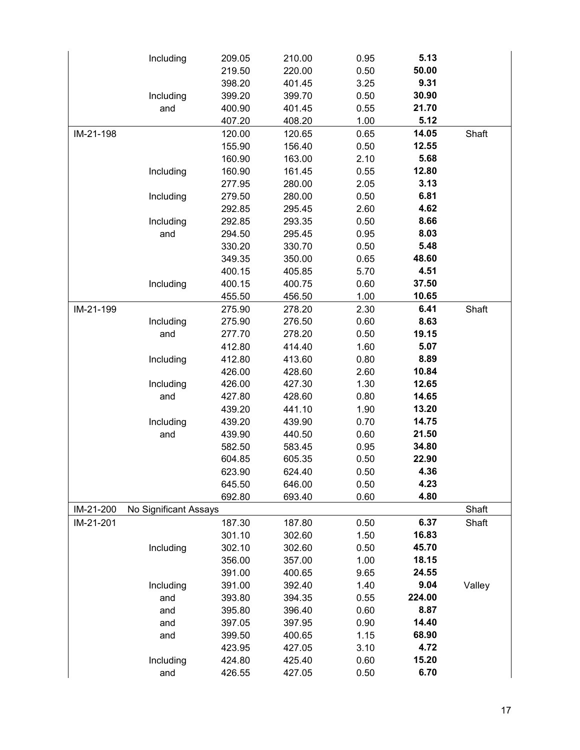|           | Including             | 209.05 | 210.00 | 0.95 | 5.13   |        |
|-----------|-----------------------|--------|--------|------|--------|--------|
|           |                       | 219.50 | 220.00 | 0.50 | 50.00  |        |
|           |                       | 398.20 | 401.45 | 3.25 | 9.31   |        |
|           | Including             | 399.20 | 399.70 | 0.50 | 30.90  |        |
|           | and                   | 400.90 | 401.45 | 0.55 | 21.70  |        |
|           |                       | 407.20 | 408.20 | 1.00 | 5.12   |        |
| IM-21-198 |                       | 120.00 | 120.65 | 0.65 | 14.05  | Shaft  |
|           |                       | 155.90 | 156.40 | 0.50 | 12.55  |        |
|           |                       | 160.90 | 163.00 | 2.10 | 5.68   |        |
|           | Including             | 160.90 | 161.45 | 0.55 | 12.80  |        |
|           |                       | 277.95 | 280.00 | 2.05 | 3.13   |        |
|           | Including             | 279.50 | 280.00 | 0.50 | 6.81   |        |
|           |                       | 292.85 | 295.45 | 2.60 | 4.62   |        |
|           | Including             | 292.85 | 293.35 | 0.50 | 8.66   |        |
|           | and                   | 294.50 | 295.45 | 0.95 | 8.03   |        |
|           |                       | 330.20 | 330.70 | 0.50 | 5.48   |        |
|           |                       | 349.35 | 350.00 | 0.65 | 48.60  |        |
|           |                       | 400.15 | 405.85 | 5.70 | 4.51   |        |
|           | Including             | 400.15 | 400.75 | 0.60 | 37.50  |        |
|           |                       | 455.50 | 456.50 | 1.00 | 10.65  |        |
| IM-21-199 |                       | 275.90 | 278.20 | 2.30 | 6.41   | Shaft  |
|           | Including             | 275.90 | 276.50 | 0.60 | 8.63   |        |
|           | and                   | 277.70 | 278.20 | 0.50 | 19.15  |        |
|           |                       | 412.80 | 414.40 | 1.60 | 5.07   |        |
|           | Including             | 412.80 | 413.60 | 0.80 | 8.89   |        |
|           |                       | 426.00 | 428.60 | 2.60 | 10.84  |        |
|           | Including             | 426.00 | 427.30 | 1.30 | 12.65  |        |
|           | and                   | 427.80 | 428.60 | 0.80 | 14.65  |        |
|           |                       | 439.20 | 441.10 | 1.90 | 13.20  |        |
|           | Including             | 439.20 | 439.90 | 0.70 | 14.75  |        |
|           | and                   | 439.90 | 440.50 | 0.60 | 21.50  |        |
|           |                       | 582.50 | 583.45 | 0.95 | 34.80  |        |
|           |                       | 604.85 | 605.35 | 0.50 | 22.90  |        |
|           |                       | 623.90 | 624.40 | 0.50 | 4.36   |        |
|           |                       | 645.50 | 646.00 | 0.50 | 4.23   |        |
|           |                       | 692.80 | 693.40 | 0.60 | 4.80   |        |
| IM-21-200 | No Significant Assays |        |        |      |        | Shaft  |
| IM-21-201 |                       | 187.30 | 187.80 | 0.50 | 6.37   | Shaft  |
|           |                       | 301.10 | 302.60 | 1.50 | 16.83  |        |
|           | Including             | 302.10 | 302.60 | 0.50 | 45.70  |        |
|           |                       | 356.00 | 357.00 | 1.00 | 18.15  |        |
|           |                       | 391.00 | 400.65 | 9.65 | 24.55  |        |
|           | Including             | 391.00 | 392.40 | 1.40 | 9.04   | Valley |
|           | and                   | 393.80 | 394.35 | 0.55 | 224.00 |        |
|           | and                   | 395.80 | 396.40 | 0.60 | 8.87   |        |
|           | and                   | 397.05 | 397.95 | 0.90 | 14.40  |        |
|           | and                   | 399.50 | 400.65 | 1.15 | 68.90  |        |
|           |                       | 423.95 | 427.05 | 3.10 | 4.72   |        |
|           | Including             | 424.80 | 425.40 | 0.60 | 15.20  |        |
|           |                       |        |        |      |        |        |
|           | and                   | 426.55 | 427.05 | 0.50 | 6.70   |        |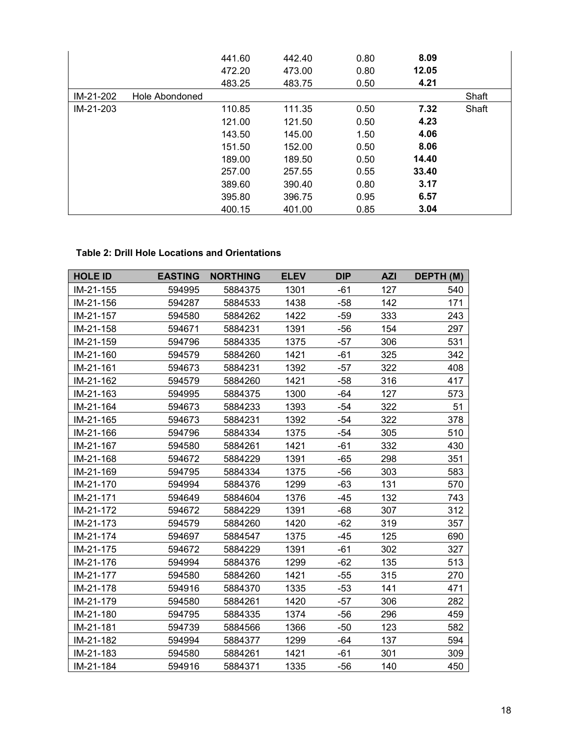|             |                | 441.60 | 442.40 | 0.80 | 8.09  |       |
|-------------|----------------|--------|--------|------|-------|-------|
|             |                | 472.20 | 473.00 | 0.80 | 12.05 |       |
|             |                | 483.25 | 483.75 | 0.50 | 4.21  |       |
| IM-21-202   | Hole Abondoned |        |        |      |       | Shaft |
| $IM-21-203$ |                | 110.85 | 111.35 | 0.50 | 7.32  | Shaft |
|             |                | 121.00 | 121.50 | 0.50 | 4.23  |       |
|             |                | 143.50 | 145.00 | 1.50 | 4.06  |       |
|             |                | 151.50 | 152.00 | 0.50 | 8.06  |       |
|             |                | 189.00 | 189.50 | 0.50 | 14.40 |       |
|             |                | 257.00 | 257.55 | 0.55 | 33.40 |       |
|             |                | 389.60 | 390.40 | 0.80 | 3.17  |       |
|             |                | 395.80 | 396.75 | 0.95 | 6.57  |       |
|             |                | 400.15 | 401.00 | 0.85 | 3.04  |       |

### **Table 2: Drill Hole Locations and Orientations**

| <b>HOLE ID</b> | <b>EASTING</b> | <b>NORTHING</b> | <b>ELEV</b> | <b>DIP</b> | <b>AZI</b> | DEPTH (M) |
|----------------|----------------|-----------------|-------------|------------|------------|-----------|
| IM-21-155      | 594995         | 5884375         | 1301        | $-61$      | 127        | 540       |
| IM-21-156      | 594287         | 5884533         | 1438        | $-58$      | 142        | 171       |
| IM-21-157      | 594580         | 5884262         | 1422        | $-59$      | 333        | 243       |
| IM-21-158      | 594671         | 5884231         | 1391        | $-56$      | 154        | 297       |
| IM-21-159      | 594796         | 5884335         | 1375        | $-57$      | 306        | 531       |
| IM-21-160      | 594579         | 5884260         | 1421        | $-61$      | 325        | 342       |
| IM-21-161      | 594673         | 5884231         | 1392        | $-57$      | 322        | 408       |
| IM-21-162      | 594579         | 5884260         | 1421        | $-58$      | 316        | 417       |
| IM-21-163      | 594995         | 5884375         | 1300        | -64        | 127        | 573       |
| IM-21-164      | 594673         | 5884233         | 1393        | $-54$      | 322        | 51        |
| IM-21-165      | 594673         | 5884231         | 1392        | $-54$      | 322        | 378       |
| IM-21-166      | 594796         | 5884334         | 1375        | $-54$      | 305        | 510       |
| IM-21-167      | 594580         | 5884261         | 1421        | $-61$      | 332        | 430       |
| IM-21-168      | 594672         | 5884229         | 1391        | $-65$      | 298        | 351       |
| IM-21-169      | 594795         | 5884334         | 1375        | $-56$      | 303        | 583       |
| IM-21-170      | 594994         | 5884376         | 1299        | $-63$      | 131        | 570       |
| IM-21-171      | 594649         | 5884604         | 1376        | $-45$      | 132        | 743       |
| IM-21-172      | 594672         | 5884229         | 1391        | $-68$      | 307        | 312       |
| IM-21-173      | 594579         | 5884260         | 1420        | $-62$      | 319        | 357       |
| IM-21-174      | 594697         | 5884547         | 1375        | $-45$      | 125        | 690       |
| IM-21-175      | 594672         | 5884229         | 1391        | $-61$      | 302        | 327       |
| IM-21-176      | 594994         | 5884376         | 1299        | $-62$      | 135        | 513       |
| IM-21-177      | 594580         | 5884260         | 1421        | $-55$      | 315        | 270       |
| IM-21-178      | 594916         | 5884370         | 1335        | -53        | 141        | 471       |
| IM-21-179      | 594580         | 5884261         | 1420        | $-57$      | 306        | 282       |
| IM-21-180      | 594795         | 5884335         | 1374        | $-56$      | 296        | 459       |
| IM-21-181      | 594739         | 5884566         | 1366        | $-50$      | 123        | 582       |
| IM-21-182      | 594994         | 5884377         | 1299        | $-64$      | 137        | 594       |
| IM-21-183      | 594580         | 5884261         | 1421        | -61        | 301        | 309       |
| IM-21-184      | 594916         | 5884371         | 1335        | $-56$      | 140        | 450       |